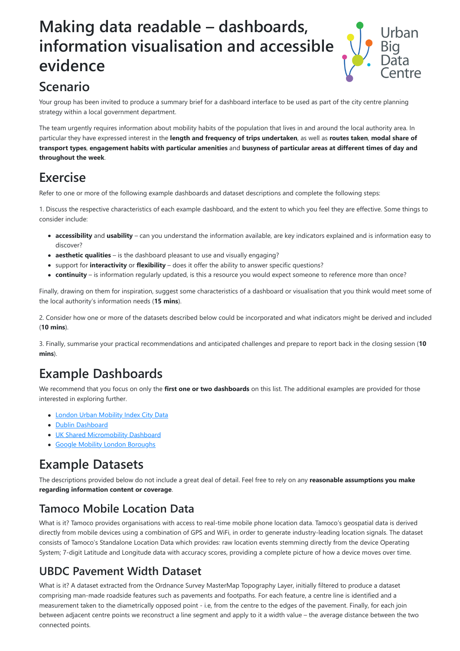# **Making data readable – dashboards, information visualisation and accessible evidence**



# **Scenario**

Your group has been invited to produce a summary brief for a dashboard interface to be used as part of the city centre planning strategy within a local government department.

The team urgently requires information about mobility habits of the population that lives in and around the local authority area. In particular they have expressed interest in the **length and frequency of trips undertaken**, as well as **routes taken**, **modal share of transport types**, **engagement habits with particular amenities** and **busyness of particular areas at different times of day and throughout the week**.

# **Exercise**

Refer to one or more of the following example dashboards and dataset descriptions and complete the following steps:

1. Discuss the respective characteristics of each example dashboard, and the extent to which you feel they are effective. Some things to consider include:

- **accessibility** and **usability** can you understand the information available, are key indicators explained and is information easy to discover?
- **aesthetic qualities** is the dashboard pleasant to use and visually engaging?
- support for **interactivity** or **flexibility** does it offer the ability to answer specific questions?
- **continuity**  is information regularly updated, is this a resource you would expect someone to reference more than once?

Finally, drawing on them for inspiration, suggest some characteristics of a dashboard or visualisation that you think would meet some of the local authority's information needs (**15 mins**).

2. Consider how one or more of the datasets described below could be incorporated and what indicators might be derived and included (**10 mins**).

3. Finally, summarise your practical recommendations and anticipated challenges and prepare to report back in the closing session (**10 mins**).

# **Example Dashboards**

We recommend that you focus on only the **first one or two dashboards** on this list. The additional examples are provided for those interested in exploring further.

- [London Urban Mobility Index City Data](https://urbanmobilityindex.here.com/city/london)
- [Dublin Dashboard](https://www.dublindashboard.ie/)
- [UK Shared Micromobility Dashboard](https://bikesharp.com/dashboard/)
- **[Google Mobility London Boroughs](https://public.tableau.com/profile/urban.insights.lab#!/vizhome/googlemobilitylondonboroughs/Dashboard1)**

### **Example Datasets**

The descriptions provided below do not include a great deal of detail. Feel free to rely on any **reasonable assumptions you make regarding information content or coverage**.

#### **Tamoco Mobile Location Data**

What is it? Tamoco provides organisations with access to real-time mobile phone location data. Tamoco's geospatial data is derived directly from mobile devices using a combination of GPS and WiFi, in order to generate industry-leading location signals. The dataset consists of Tamoco's Standalone Location Data which provides: raw location events stemming directly from the device Operating System; 7-digit Latitude and Longitude data with accuracy scores, providing a complete picture of how a device moves over time.

#### **UBDC Pavement Width Dataset**

What is it? A dataset extracted from the Ordnance Survey MasterMap Topography Layer, initially filtered to produce a dataset comprising man-made roadside features such as pavements and footpaths. For each feature, a centre line is identified and a measurement taken to the diametrically opposed point - i.e, from the centre to the edges of the pavement. Finally, for each join between adjacent centre points we reconstruct a line segment and apply to it a width value – the average distance between the two connected points.